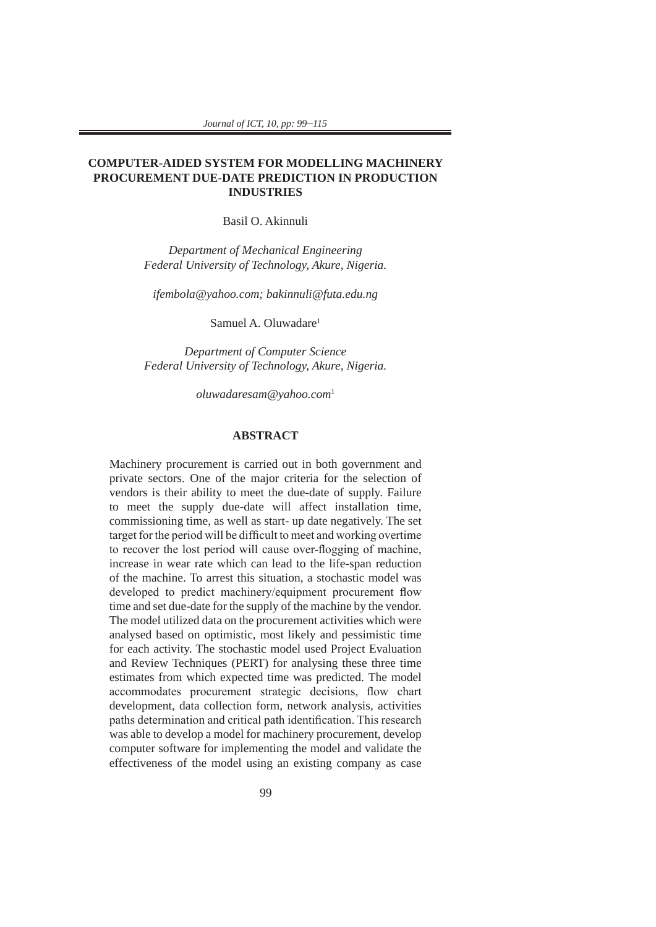## **COMPUTER-AIDED SYSTEM FOR MODELLING MACHINERY PROCUREMENT DUE-DATE PREDICTION IN PRODUCTION INDUSTRIES**

Basil O. Akinnuli

*Department of Mechanical Engineering Federal University of Technology, Akure, Nigeria.*

*ifembola@yahoo.com; bakinnuli@futa.edu.ng*

Samuel A. Oluwadare<sup>1</sup>

*Department of Computer Science Federal University of Technology, Akure, Nigeria.*

*oluwadaresam@yahoo.com*<sup>1</sup>

#### **ABSTRACT**

Machinery procurement is carried out in both government and private sectors. One of the major criteria for the selection of vendors is their ability to meet the due-date of supply. Failure to meet the supply due-date will affect installation time, commissioning time, as well as start- up date negatively. The set target for the period will be difficult to meet and working overtime to recover the lost period will cause over-flogging of machine, increase in wear rate which can lead to the life-span reduction of the machine. To arrest this situation, a stochastic model was developed to predict machinery/equipment procurement flow time and set due-date for the supply of the machine by the vendor. The model utilized data on the procurement activities which were analysed based on optimistic, most likely and pessimistic time for each activity. The stochastic model used Project Evaluation and Review Techniques (PERT) for analysing these three time estimates from which expected time was predicted. The model accommodates procurement strategic decisions, flow chart development, data collection form, network analysis, activities paths determination and critical path identification. This research was able to develop a model for machinery procurement, develop computer software for implementing the model and validate the effectiveness of the model using an existing company as case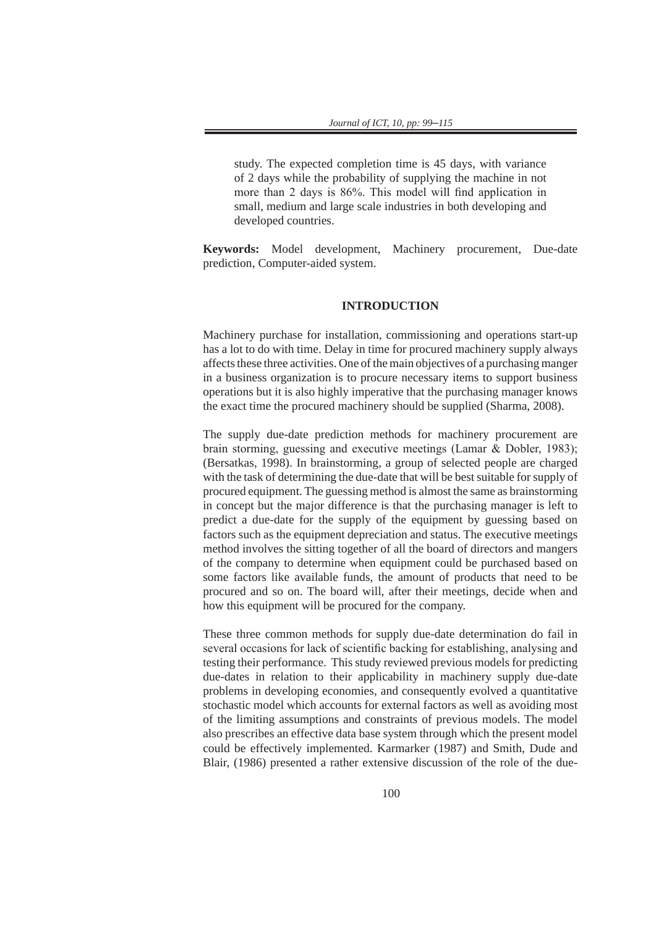study. The expected completion time is 45 days, with variance of 2 days while the probability of supplying the machine in not more than 2 days is 86%. This model will find application in small, medium and large scale industries in both developing and developed countries.

**Keywords:** Model development, Machinery procurement, Due-date prediction, Computer-aided system.

# **INTRODUCTION**

Machinery purchase for installation, commissioning and operations start-up has a lot to do with time. Delay in time for procured machinery supply always affects these three activities. One of the main objectives of a purchasing manger in a business organization is to procure necessary items to support business operations but it is also highly imperative that the purchasing manager knows the exact time the procured machinery should be supplied (Sharma, 2008).

The supply due-date prediction methods for machinery procurement are brain storming, guessing and executive meetings (Lamar & Dobler, 1983); (Bersatkas, 1998). In brainstorming, a group of selected people are charged with the task of determining the due-date that will be best suitable for supply of procured equipment. The guessing method is almost the same as brainstorming in concept but the major difference is that the purchasing manager is left to predict a due-date for the supply of the equipment by guessing based on factors such as the equipment depreciation and status. The executive meetings method involves the sitting together of all the board of directors and mangers of the company to determine when equipment could be purchased based on some factors like available funds, the amount of products that need to be procured and so on. The board will, after their meetings, decide when and how this equipment will be procured for the company.

These three common methods for supply due-date determination do fail in several occasions for lack of scientific backing for establishing, analysing and testing their performance. This study reviewed previous models for predicting due-dates in relation to their applicability in machinery supply due-date problems in developing economies, and consequently evolved a quantitative stochastic model which accounts for external factors as well as avoiding most of the limiting assumptions and constraints of previous models. The model also prescribes an effective data base system through which the present model could be effectively implemented. Karmarker (1987) and Smith, Dude and Blair, (1986) presented a rather extensive discussion of the role of the due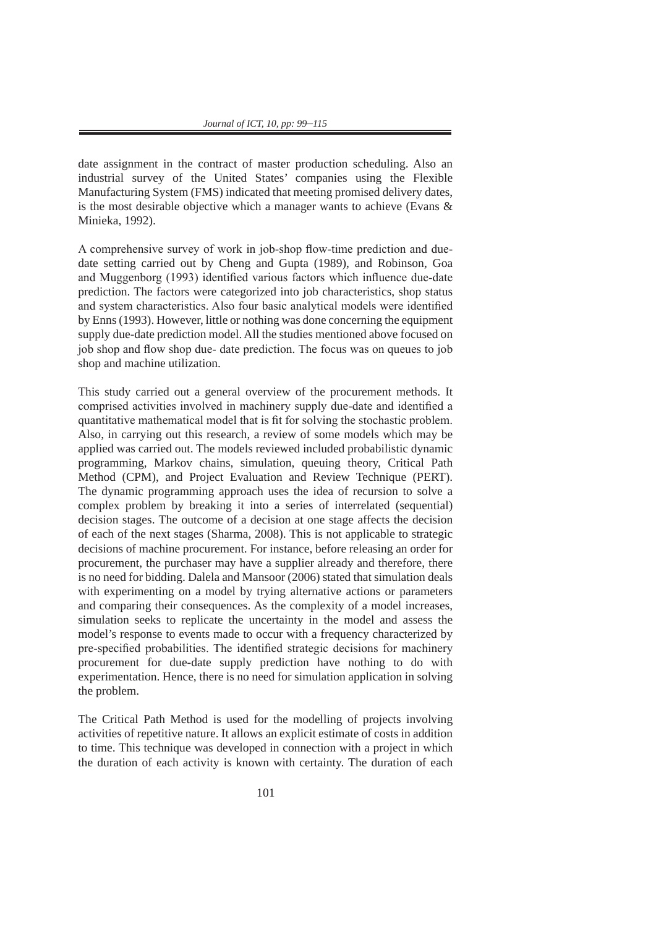date assignment in the contract of master production scheduling. Also an industrial survey of the United States' companies using the Flexible Manufacturing System (FMS) indicated that meeting promised delivery dates, is the most desirable objective which a manager wants to achieve (Evans & Minieka, 1992).

A comprehensive survey of work in job-shop flow-time prediction and duedate setting carried out by Cheng and Gupta (1989), and Robinson, Goa and Muggenborg (1993) identified various factors which influence due-date prediction. The factors were categorized into job characteristics, shop status and system characteristics. Also four basic analytical models were identified by Enns (1993). However, little or nothing was done concerning the equipment supply due-date prediction model. All the studies mentioned above focused on job shop and flow shop due- date prediction. The focus was on queues to job shop and machine utilization.

This study carried out a general overview of the procurement methods. It comprised activities involved in machinery supply due-date and identified a quantitative mathematical model that is fit for solving the stochastic problem. Also, in carrying out this research, a review of some models which may be applied was carried out. The models reviewed included probabilistic dynamic programming, Markov chains, simulation, queuing theory, Critical Path Method (CPM), and Project Evaluation and Review Technique (PERT). The dynamic programming approach uses the idea of recursion to solve a complex problem by breaking it into a series of interrelated (sequential) decision stages. The outcome of a decision at one stage affects the decision of each of the next stages (Sharma, 2008). This is not applicable to strategic decisions of machine procurement. For instance, before releasing an order for procurement, the purchaser may have a supplier already and therefore, there is no need for bidding. Dalela and Mansoor (2006) stated that simulation deals with experimenting on a model by trying alternative actions or parameters and comparing their consequences. As the complexity of a model increases, simulation seeks to replicate the uncertainty in the model and assess the model's response to events made to occur with a frequency characterized by pre-specified probabilities. The identified strategic decisions for machinery procurement for due-date supply prediction have nothing to do with experimentation. Hence, there is no need for simulation application in solving the problem.

The Critical Path Method is used for the modelling of projects involving activities of repetitive nature. It allows an explicit estimate of costs in addition to time. This technique was developed in connection with a project in which the duration of each activity is known with certainty. The duration of each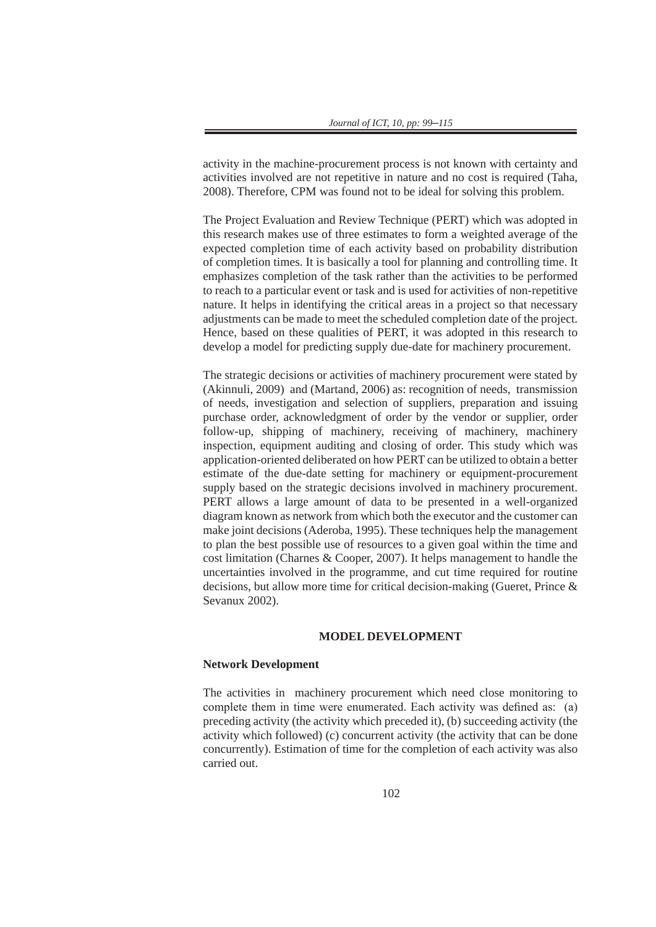activity in the machine-procurement process is not known with certainty and activities involved are not repetitive in nature and no cost is required (Taha, 2008). Therefore, CPM was found not to be ideal for solving this problem.

The Project Evaluation and Review Technique (PERT) which was adopted in this research makes use of three estimates to form a weighted average of the expected completion time of each activity based on probability distribution of completion times. It is basically a tool for planning and controlling time. It emphasizes completion of the task rather than the activities to be performed to reach to a particular event or task and is used for activities of non-repetitive nature. It helps in identifying the critical areas in a project so that necessary adjustments can be made to meet the scheduled completion date of the project. Hence, based on these qualities of PERT, it was adopted in this research to develop a model for predicting supply due-date for machinery procurement.

The strategic decisions or activities of machinery procurement were stated by (Akinnuli, 2009) and (Martand, 2006) as: recognition of needs, transmission of needs, investigation and selection of suppliers, preparation and issuing purchase order, acknowledgment of order by the vendor or supplier, order follow-up, shipping of machinery, receiving of machinery, machinery inspection, equipment auditing and closing of order. This study which was application-oriented deliberated on how PERT can be utilized to obtain a better estimate of the due-date setting for machinery or equipment-procurement supply based on the strategic decisions involved in machinery procurement. PERT allows a large amount of data to be presented in a well-organized diagram known as network from which both the executor and the customer can make joint decisions (Aderoba, 1995). These techniques help the management to plan the best possible use of resources to a given goal within the time and cost limitation (Charnes & Cooper, 2007). It helps management to handle the uncertainties involved in the programme, and cut time required for routine decisions, but allow more time for critical decision-making (Gueret, Prince & Sevanux 2002).

## **MODEL DEVELOPMENT**

#### **Network Development**

The activities in machinery procurement which need close monitoring to complete them in time were enumerated. Each activity was defined as: (a) preceding activity (the activity which preceded it), (b) succeeding activity (the activity which followed) (c) concurrent activity (the activity that can be done concurrently). Estimation of time for the completion of each activity was also carried out.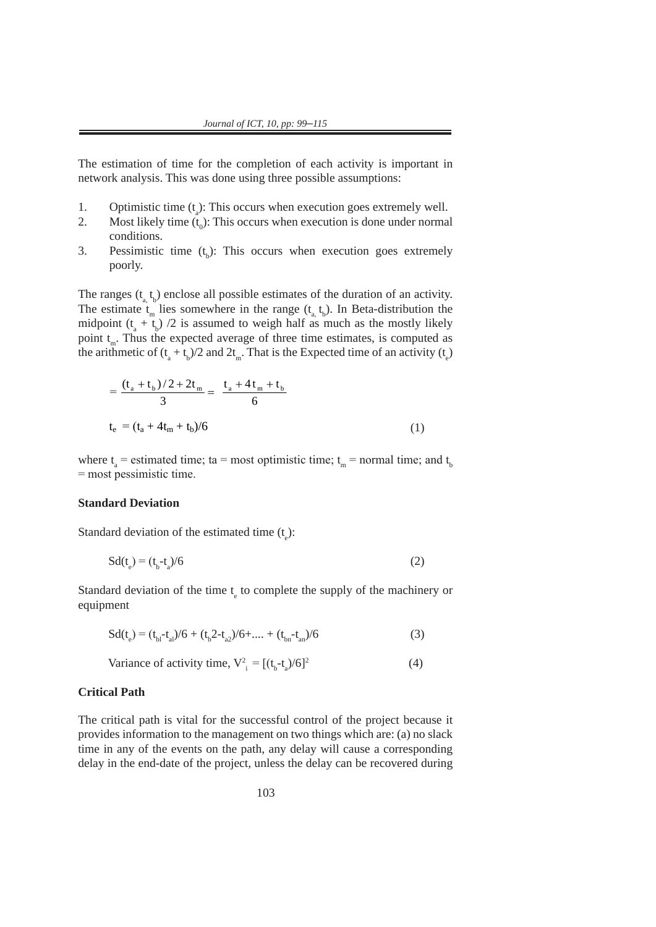2. **Most likely time (t0)**: This occurs when execution is done under normal

The estimation of time for the completion of each activity is important in network analysis. This was done using three possible assumptions:

- 1. Optimistic time  $(t_a)$ : This occurs when execution goes extremely well.
- 2. Most likely time  $(t_0)$ : This occurs when execution is done under normal conditions.  $\alpha$  ranges (ta, the duration of the duration of an activity. The duration of an activity. The estimate the estimate tm estimate the estimate through  $\alpha$
- 3. Pessimistic time  $(t_b)$ : This occurs when execution goes extremely poorly.  $\mathbf{r}$  somewhere in the midpoint (task). poorly. In the range (ta, tb). In Beta-distribution the midpoint (ta + tb)  $\alpha$  is assumed to the midpoint (ta + tb)  $\alpha$

The ranges  $(t_a, t_b)$  enclose all possible estimates of the duration of an activity. The ranges  $(\epsilon_a, \epsilon_b)$  enerose an possible estimates of the diration of an activity.<br>The estimate  $t_m$  lies somewhere in the range  $(t_a, t_b)$ . In Beta-distribution the midpoint  $(t_a + t_b)/2$  is assumed to weigh half as much as the mostly likely point  $t_m$ . Thus the expected average of three time estimates, is computed as the arithmetic of  $(t_a + t_b)/2$  and  $2t_m$ . That is the Expected time of an activity  $(t_e)$ 

$$
= \frac{(t_a + t_b)/2 + 2t_m}{3} = \frac{t_a + 4t_m + t_b}{6}
$$
  

$$
t_e = (t_a + 4t_m + t_b)/6
$$
 (1)

where  $t_a$  = estimated time; ta = most optimistic time;  $t_m$  = normal time; and  $t_b$ = most pessimistic time. pessimistic time. pessimistic time.

#### **Standard Deviation**

Standard deviation of the estimated time  $(t_e)$ :

$$
Sd(t_e) = (t_b - t_a)/6
$$
 (2)

Standard deviation of the time  $t_e$  to complete the supply of the machinery or equipment equipment

$$
Sd(t_e) = (t_{b1} - t_{a1})/6 + (t_b 2 - t_{a2})/6 + \dots + (t_{bn} - t_{an})/6
$$
\n(3)

Variance of activity time, 
$$
V_{i}^{2} = [(t_{b} - t_{a})/6]^{2}
$$
 (4)

 $S_{\rm eff}$  ,  $S_{\rm eff}$  ,  $S_{\rm eff}$  ,  $S_{\rm eff}$  ,  $S_{\rm eff}$  ,  $S_{\rm eff}$  (3),  $\frac{1}{2}$ 

#### **Critical Path**  $\mathbf{v}$  is the activity time,  $\mathbf{v}$

The critical path is vital for the successful control of the project because it provides information to the management on two things which are: (a) no slack provides information to the management on two unifigs which are, (a) no stack<br>time in any of the events on the path, any delay will cause a corresponding delay in the end-date of the project, unless the delay can be recovered during delay in the end-date of the project, unless the delay can be recovered during **Critical Path** If the cha-date of the project, unless the delay can be recovered during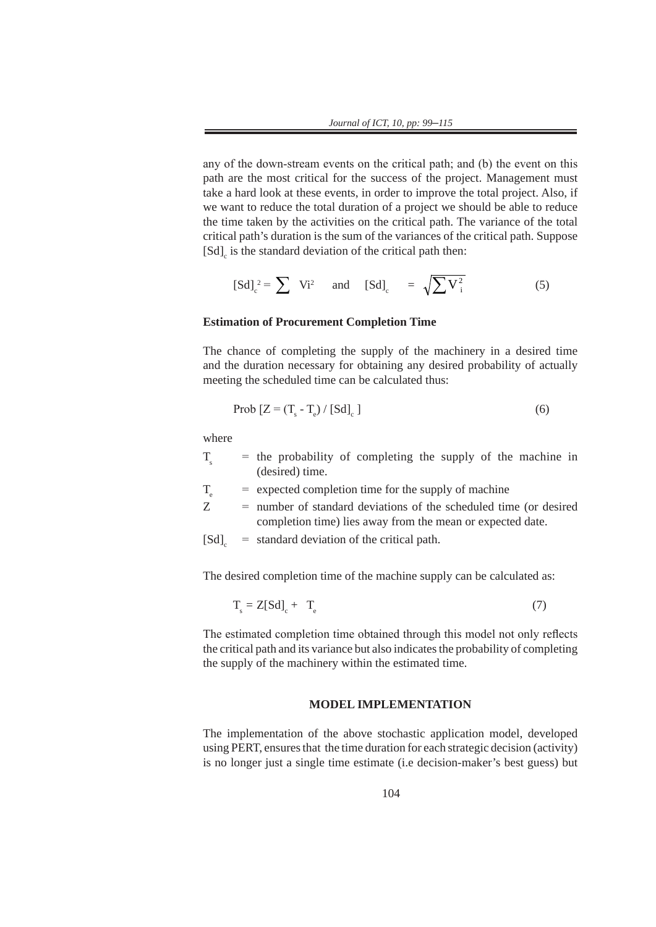any of the down-stream events on the critical path; and (b) the event on this path are the most critical for the success of the project. Management must take a hard look at these events, in order to improve the total project. Also, if we want to reduce the total duration of a project we should be able to reduce the time taken by the activities on the critical path. The variance of the total critical path's duration is the sum of the variances of the critical path. Suppose  $[Sd]_c$  is the standard deviation of the critical path then:

$$
[Sd]_c^2 = \sum Vi^2 \quad \text{and} \quad [Sd]_c = \sqrt{\sum V_i^2}
$$
 (5)

#### **Estimation of Procurement Completion Time**

The chance of completing the supply of the machinery in a desired time and the duration necessary for obtaining any desired probability of actually meeting the scheduled time can be calculated thus:

$$
\text{Prob}\left[Z = \left(T_s - T_e\right) / \left[\text{Sd}\right]_c\right] \tag{6}
$$

where

| $\mathbf T$ |  |                 | $=$ the probability of completing the supply of the machine in |  |  |  |
|-------------|--|-----------------|----------------------------------------------------------------|--|--|--|
|             |  | (desired) time. |                                                                |  |  |  |

- $T<sub>g</sub>$  = expected completion time for the supply of machine
- Z = number of standard deviations of the scheduled time (or desired completion time) lies away from the mean or expected date.
- $[Sd]$  = standard deviation of the critical path.

The desired completion time of the machine supply can be calculated as:

$$
T_s = Z[Sd]_c + T_e \tag{7}
$$

The estimated completion time obtained through this model not only reflects the critical path and its variance but also indicates the probability of completing the supply of the machinery within the estimated time.

## **MODEL IMPLEMENTATION**

The implementation of the above stochastic application model, developed using PERT, ensures that the time duration for each strategic decision (activity) is no longer just a single time estimate (i.e decision-maker's best guess) but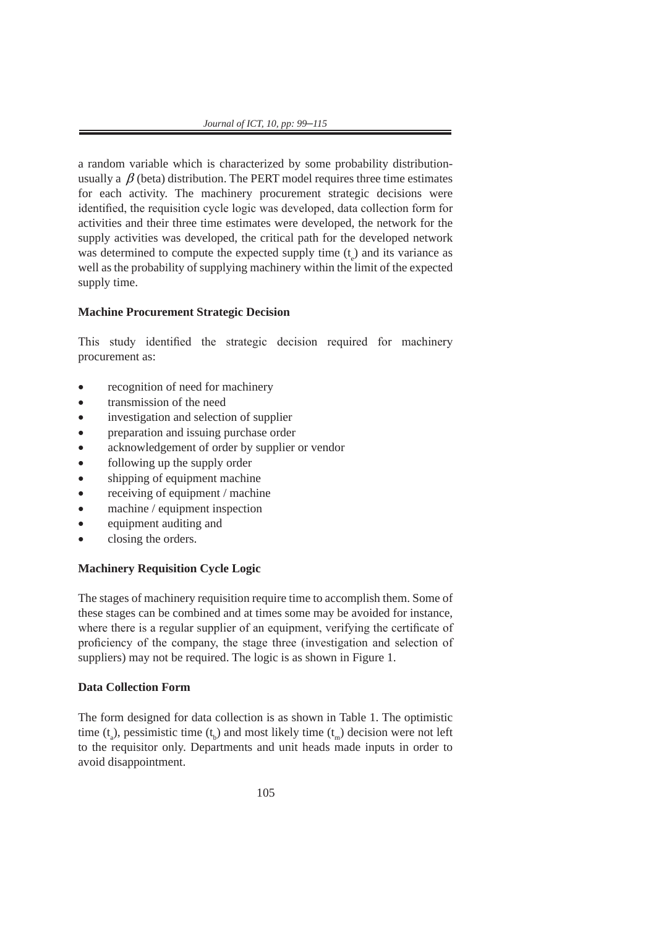a random variable which is characterized by some probability distributionusually a  $\beta$  (beta) distribution. The PERT model requires three time estimates for each activity. The machinery procurement strategic decisions were identified, the requisition cycle logic was developed, data collection form for activities and their three time estimates were developed, the network for the supply activities was developed, the critical path for the developed network was determined to compute the expected supply time  $(t_e)$  and its variance as well as the probability of supplying machinery within the limit of the expected supply time.

## **Machine Procurement Strategic Decision**

This study identified the strategic decision required for machinery procurement as:

- recognition of need for machinery
- transmission of the need
- investigation and selection of supplier
- preparation and issuing purchase order
- acknowledgement of order by supplier or vendor
- following up the supply order
- shipping of equipment machine
- receiving of equipment / machine
- machine / equipment inspection
- equipment auditing and
- closing the orders.

# **Machinery Requisition Cycle Logic**

The stages of machinery requisition require time to accomplish them. Some of these stages can be combined and at times some may be avoided for instance, where there is a regular supplier of an equipment, verifying the certificate of proficiency of the company, the stage three (investigation and selection of suppliers) may not be required. The logic is as shown in Figure 1.

# **Data Collection Form**

The form designed for data collection is as shown in Table 1. The optimistic time  $(t_a)$ , pessimistic time  $(t_b)$  and most likely time  $(t_m)$  decision were not left to the requisitor only. Departments and unit heads made inputs in order to avoid disappointment.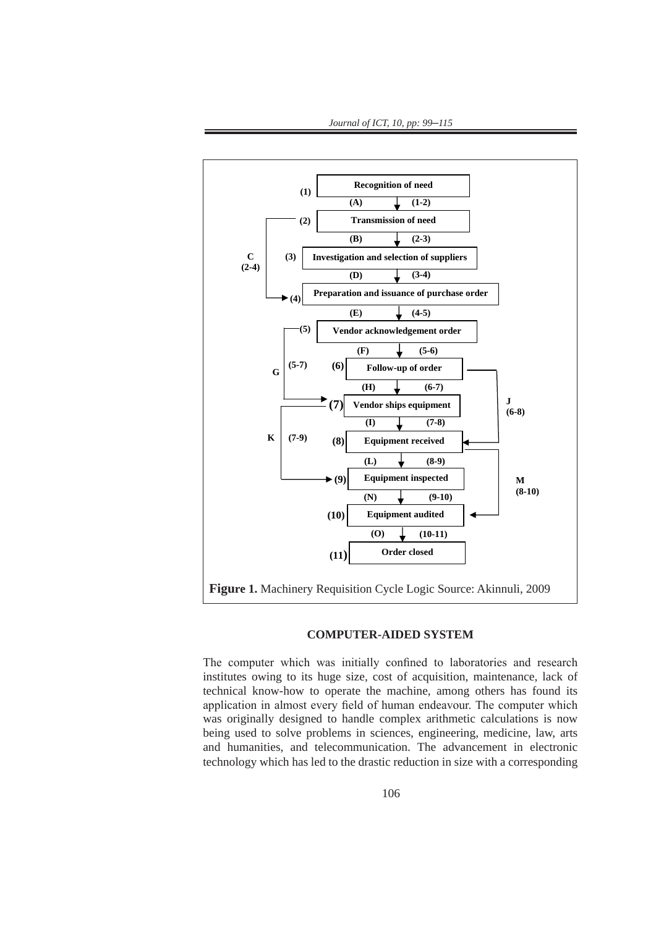

*Journal of ICT, 10, pp: 99*–*115*

## **Figure 1.** Machinery Requisition Cycle Logic Source: Akinnuli, 2009 *Figure 1.* Machinery Requisition Cycle Logic

## **COMPUTER-AIDED SYSTEM**

The computer which was initially confined to laboratories and research institutes owing to its huge size, cost of acquisition, maintenance, lack of technical know-how to operate the machine, among others has found its application in almost every field of human endeavour. The computer which was originally designed to handle complex arithmetic calculations is now being used to solve problems in sciences, engineering, medicine, law, arts and humanities, and telecommunication. The advancement in electronic technology which has led to the drastic reduction in size with a corresponding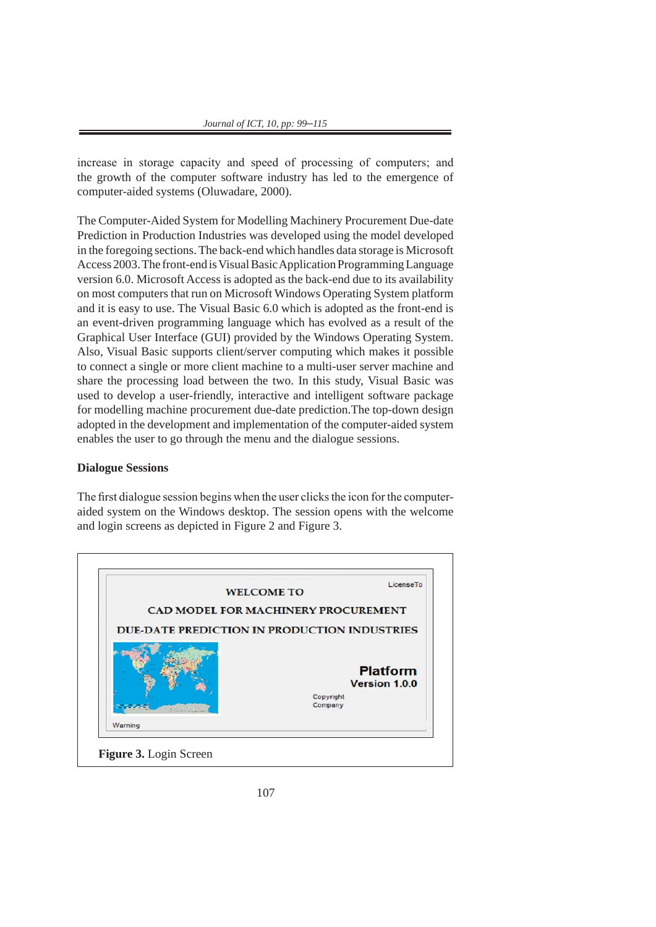increase in storage capacity and speed of processing of computers; and the growth of the computer software industry has led to the emergence of computer-aided systems (Oluwadare, 2000).

The Computer-Aided System for Modelling Machinery Procurement Due-date Prediction in Production Industries was developed using the model developed in the foregoing sections. The back-end which handles data storage is Microsoft Access 2003. The front-end is Visual Basic Application Programming Language version 6.0. Microsoft Access is adopted as the back-end due to its availability on most computers that run on Microsoft Windows Operating System platform and it is easy to use. The Visual Basic 6.0 which is adopted as the front-end is an event-driven programming language which has evolved as a result of the Graphical User Interface (GUI) provided by the Windows Operating System. Also, Visual Basic supports client/server computing which makes it possible to connect a single or more client machine to a multi-user server machine and share the processing load between the two. In this study, Visual Basic was used to develop a user-friendly, interactive and intelligent software package for modelling machine procurement due-date prediction.The top-down design adopted in the development and implementation of the computer-aided system enables the user to go through the menu and the dialogue sessions.

### **Dialogue Sessions**

The first dialogue session begins when the user clicks the icon for the computeraided system on the Windows desktop. The session opens with the welcome and login screens as depicted in Figure 2 and Figure 3.

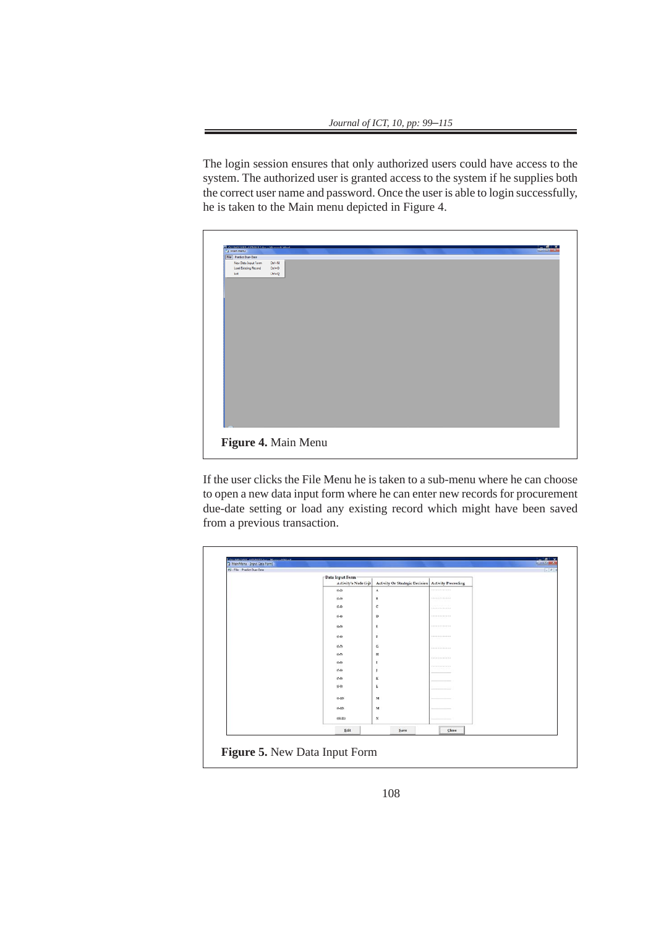The login session ensures that only authorized users could have access to the system. The authorized user is granted access to the system if he supplies both the correct user name and password. Once the user is able to login successfully, he is taken to the Main menu depicted in Figure 4.

| <b>BE ALLIMATA BE AVIMULATELY A Manufactured</b><br><b>C3 Main Menu</b> |                     |  |  | <b>Barriotti March 200</b> |
|-------------------------------------------------------------------------|---------------------|--|--|----------------------------|
| File Predict Due-Date                                                   |                     |  |  |                            |
| New Data Input Form                                                     | $Qn + N$            |  |  |                            |
| Load Existing Record                                                    | $Curl+Q$            |  |  |                            |
| <b>bit</b>                                                              | $Q$ and $Q$         |  |  |                            |
|                                                                         |                     |  |  |                            |
|                                                                         |                     |  |  |                            |
|                                                                         |                     |  |  |                            |
|                                                                         |                     |  |  |                            |
|                                                                         |                     |  |  |                            |
|                                                                         |                     |  |  |                            |
|                                                                         |                     |  |  |                            |
|                                                                         |                     |  |  |                            |
|                                                                         |                     |  |  |                            |
|                                                                         |                     |  |  |                            |
|                                                                         |                     |  |  |                            |
|                                                                         |                     |  |  |                            |
|                                                                         |                     |  |  |                            |
|                                                                         |                     |  |  |                            |
|                                                                         |                     |  |  |                            |
|                                                                         |                     |  |  |                            |
|                                                                         |                     |  |  |                            |
|                                                                         |                     |  |  |                            |
|                                                                         |                     |  |  |                            |
|                                                                         |                     |  |  |                            |
|                                                                         |                     |  |  |                            |
|                                                                         |                     |  |  |                            |
|                                                                         |                     |  |  |                            |
|                                                                         |                     |  |  |                            |
|                                                                         |                     |  |  |                            |
|                                                                         |                     |  |  |                            |
|                                                                         |                     |  |  |                            |
|                                                                         |                     |  |  |                            |
|                                                                         | Figure 4. Main Menu |  |  |                            |

If the user clicks the File Menu he is taken to a sub-menu where he can choose to open a new data input form where he can enter new records for procurement due-date setting or load any existing record which might have been saved from a previous transaction.

| Data Input Ferm<br>Activity's Node (i-j) | Activity Or Strategic Decision   Activity Preceeding |                           |  |
|------------------------------------------|------------------------------------------------------|---------------------------|--|
| $(1-2)$                                  | $\mathbf A$                                          |                           |  |
| $(2-3)$                                  | в                                                    | Abbetsweiterminister      |  |
| $(2-4)$                                  | c                                                    |                           |  |
| $(3-4)$                                  | D                                                    | 0100131011011011          |  |
| (1.5)                                    | Ε                                                    | 4100 (1) (1) 1100 (1) (1) |  |
| $0 - 0$                                  | F                                                    |                           |  |
| (5.7)                                    | G                                                    | stori internazione        |  |
| $(5-7)$                                  | $\mathbf{H}$                                         | <b>TENNISSION</b>         |  |
| $(5-8)$                                  | $\mathbf{I}$                                         | <b>CONTRACTOR</b>         |  |
| $(7-8)$                                  | J                                                    | - - - - -                 |  |
| $(7 - 9)$                                | ĸ                                                    |                           |  |
| $(3-2)$                                  | L                                                    |                           |  |
| $(3-10)$                                 | M                                                    |                           |  |
| $(2-10)$                                 | $\mathbf{M}$                                         |                           |  |
| $(10-11)$                                | $_{\rm N}$                                           |                           |  |
| Edit                                     | Save                                                 | Close                     |  |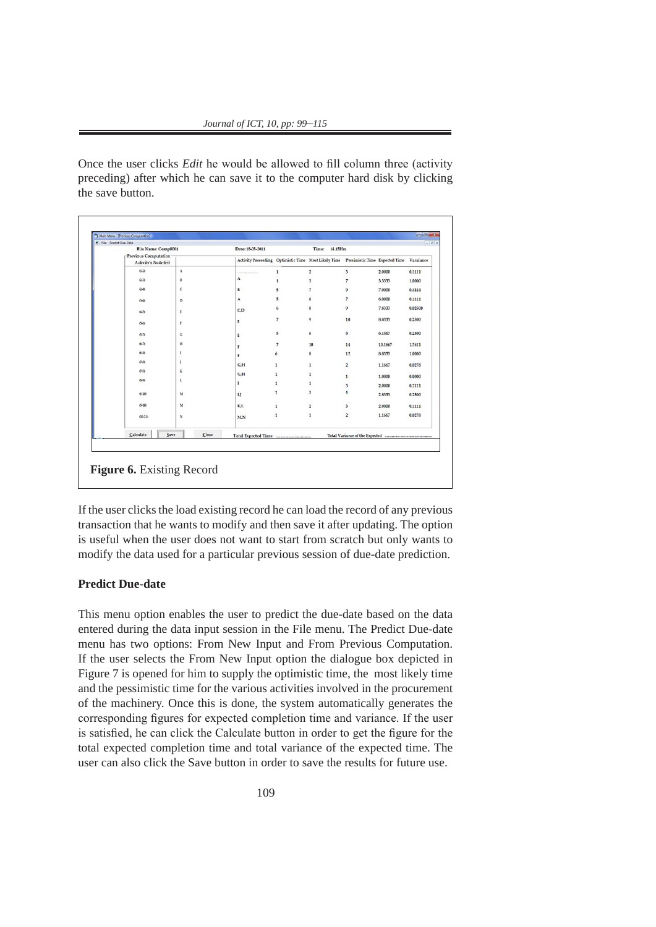*Journal of ICT, 10, pp: 99*–*115* Once the user clicks *Edit* he would be allowed to fill column three (activity preceding) after

Once the user clicks *Edit* he would be allowed to fill column three (activity preceding) after which he can save it to the computer hard disk by clicking the save button.

| File Name: Comp0001                           |              | Date: 18-05-2011                                                                    |                          | Time: 14.15Hrs          |                         |         |           |
|-----------------------------------------------|--------------|-------------------------------------------------------------------------------------|--------------------------|-------------------------|-------------------------|---------|-----------|
| Previous Computation<br>Activity's Node (i-i) |              | Activity Preceeding Optimistic Time Most Likely Time Pessimistic Time Expected Time |                          |                         |                         |         | Varaiance |
| $(1-2)$                                       | $\mathbf A$  | - 11                                                                                | $\mathbf{1}$             | $\overline{\mathbf{2}}$ | 3                       | 2,0000  | 0.1111    |
| $(2 - 3)$                                     | B            | A                                                                                   | $\mathbf{1}$             | $\overline{\mathbf{3}}$ | $\tau$                  | 3.3333  | 1.0000    |
| $(2-4)$                                       | c            | B                                                                                   | 5                        | $\overline{7}$          | 9                       | 7,0000  | 0.4444    |
| $(3-4)$                                       | D            | A                                                                                   | 5                        | 6                       | $\overline{\tau}$       | 6.0000  | 0.1111    |
| $(4-5)$                                       | Ε            | C, D                                                                                | 6                        | 8                       | 9                       | 7,8333  | 0.02500   |
| $(5 - 6)$                                     | F            | E                                                                                   | $\overline{7}$           | 9                       | 10                      | 8.8333  | 0.2500    |
| $(5 - 7)$                                     | G            | E                                                                                   | 5                        | 6                       | 8                       | 6,1667  | 0.2500    |
| $(6-7)$                                       | $\mathbf H$  | F                                                                                   | $\overline{\phantom{a}}$ | 10                      | 14                      | 10.1667 | 1.3611    |
| $(6-8)$                                       | 1            | F                                                                                   | 6                        | 8                       | 12                      | 8,8333  | 1,0000    |
| $(7-8)$                                       | I            | G,H                                                                                 | $\mathbf{1}$             | $\mathbf{1}$            | $\overline{2}$          | 1.1667  | 0.0278    |
| (7.9)                                         | K            | G.H                                                                                 | 1                        | $\mathbf{1}$            | $\mathbf{1}$            | 1,0000  | 0.0000    |
| $(8-9)$                                       | L            | 1                                                                                   | $\mathbf{1}$             | $\mathbf{1}$            | 3                       | 2,0000  | 0.1111    |
| $(5-110)$                                     | M            | IJ                                                                                  | $\mathbf{1}$             | 3                       | $\overline{4}$          | 2.8333  | 0.2500    |
| $(9-10)$                                      | $\mathbf{M}$ | K.L                                                                                 | $\mathbf{1}$             | $\overline{\mathbf{2}}$ | $\overline{\mathbf{3}}$ | 2.0000  | 0.1111    |
| $(10-11)$                                     | $_{\rm N}$   | <b>M.N</b>                                                                          | 1                        | $\mathbf 1$             | $\overline{2}$          | 1.1667  | 0.0278    |
| Calculate<br>Save                             | Close        |                                                                                     |                          |                         |                         |         |           |

If the user clicks the load existing record he can load the record of any previous transaction that he wants to modify and then save it after updating. The option is useful when the user does not want to start from scratch but only wants to modify the data used for a particular previous session of due-date prediction.

## **Predict Due-date**

This menu option enables the user to predict the due-date based on the data entered during the data input session in the File menu. The Predict Due-date menu has two options: From New Input and From Previous Computation. If the user selects the From New Input option the dialogue box depicted in Figure 7 is opened for him to supply the optimistic time, the most likely time and the pessimistic time for the various activities involved in the procurement of the machinery. Once this is done, the system automatically generates the corresponding figures for expected completion time and variance. If the user is satisfied, he can click the Calculate button in order to get the figure for the total expected completion time and total variance of the expected time. The user can also click the Save button in order to save the results for future use.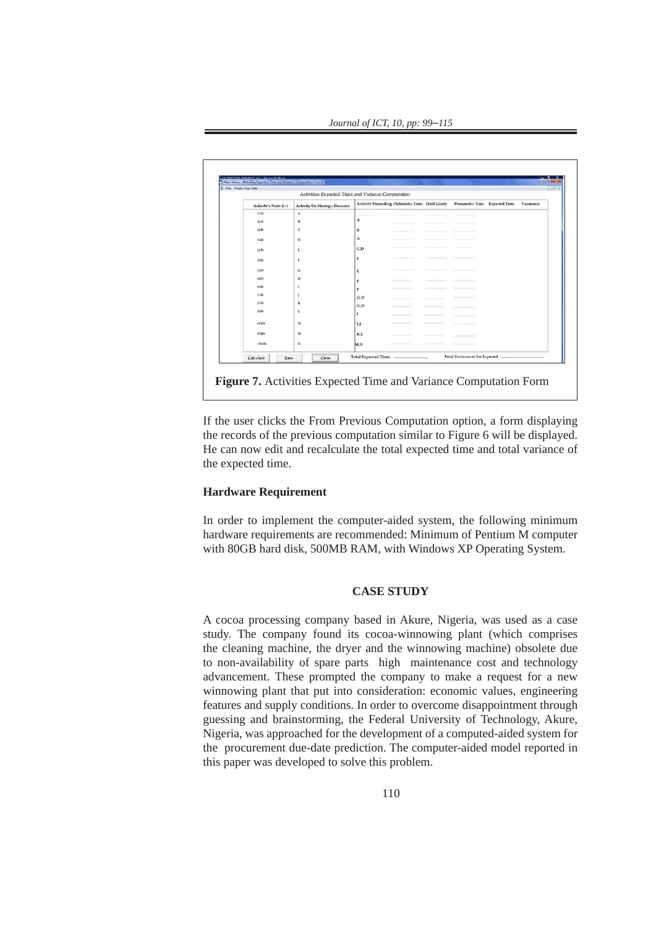*Journal of ICT, 10, pp: 99*–*115*

| "3 Main Menu - [Activities Expected Time and Variance Computation Form]<br><b>S</b> File Predict Due-Date |                                                   |                                           |                              |                                                                                                                                                                                                                                                                                                                                                                                                                                                                                                                 |                                                                                                                                                                                                                                                                                                                                                                                                        |           |
|-----------------------------------------------------------------------------------------------------------|---------------------------------------------------|-------------------------------------------|------------------------------|-----------------------------------------------------------------------------------------------------------------------------------------------------------------------------------------------------------------------------------------------------------------------------------------------------------------------------------------------------------------------------------------------------------------------------------------------------------------------------------------------------------------|--------------------------------------------------------------------------------------------------------------------------------------------------------------------------------------------------------------------------------------------------------------------------------------------------------------------------------------------------------------------------------------------------------|-----------|
|                                                                                                           | Activities Expected Time and Variance Computation |                                           |                              |                                                                                                                                                                                                                                                                                                                                                                                                                                                                                                                 |                                                                                                                                                                                                                                                                                                                                                                                                        |           |
| Activity's Node (i-j)                                                                                     | <b>Activity Or Strategic Decision</b>             |                                           |                              |                                                                                                                                                                                                                                                                                                                                                                                                                                                                                                                 | Activity Preceeding Optimistic Time Most Likely Pessimistic Time Expected Time                                                                                                                                                                                                                                                                                                                         | Varaiance |
| $(1-2)$                                                                                                   | $\Lambda$                                         | <b><i><u>ARCHITECTS COMMITTEE</u></i></b> |                              | -------------------                                                                                                                                                                                                                                                                                                                                                                                                                                                                                             | -------------------                                                                                                                                                                                                                                                                                                                                                                                    |           |
| $(2-3)$                                                                                                   | B                                                 | $\mathbf{A}$                              |                              | $\begin{minipage}{.4\linewidth} \begin{tabular}{l} \hline \multicolumn{3}{c}{\textbf{2.1}} \multicolumn{3}{c}{\textbf{2.1}} \multicolumn{3}{c}{\textbf{2.1}} \end{tabular} \end{minipage} \begin{minipage}{.4\linewidth} \begin{tabular}{l} \multicolumn{3}{c}{\textbf{2.1}} \multicolumn{3}{c}{\textbf{2.1}} \end{tabular} \end{minipage} \begin{minipage}{.4\linewidth} \begin{tabular}{l} \multicolumn{3}{c}{\textbf{2.1}} \multicolumn{3}{c}{\textbf{2.1}} \end{tabular} \end{minipage$                     | $\begin{minipage}{.4\linewidth} \begin{tabular}{l} \hline \multicolumn{3}{c}{\textbf{2-3} & \textbf{3-4} & \textbf{4-5} & \textbf{5-6} & \textbf{6-6} & \textbf{6-6} & \textbf{6-6} & \textbf{6-6} & \textbf{6-6} & \textbf{6-6} & \textbf{6-6} & \textbf{6-6} & \textbf{6-6} & \textbf{6-6} & \textbf{6-6} & \textbf{6-6} & \textbf{6-6} & \textbf{6-6} & \textbf{6-6} & \textbf{6-6} & \textbf{6-6}$ |           |
| $(2-4)$                                                                                                   | с                                                 | в                                         |                              | $-211144444414141414141414111$                                                                                                                                                                                                                                                                                                                                                                                                                                                                                  |                                                                                                                                                                                                                                                                                                                                                                                                        |           |
| $(3-4)$                                                                                                   | D                                                 | $\mathbf{A}$                              | ASSASSMENT PROPERTY          | $ +  +  +  +  +  + $                                                                                                                                                                                                                                                                                                                                                                                                                                                                                            | and a state of the form of the                                                                                                                                                                                                                                                                                                                                                                         |           |
| $(4-5)$                                                                                                   | Έ                                                 | C.D                                       | ---------------------        |                                                                                                                                                                                                                                                                                                                                                                                                                                                                                                                 |                                                                                                                                                                                                                                                                                                                                                                                                        |           |
| $(5-6)$                                                                                                   | F                                                 | E                                         | --------------------         | with a straightfully and the                                                                                                                                                                                                                                                                                                                                                                                                                                                                                    |                                                                                                                                                                                                                                                                                                                                                                                                        |           |
| $(5-7)$                                                                                                   | G                                                 | E.                                        |                              | $\begin{tabular}{cccccc} \multicolumn{2}{c}{{\small\textrm{\texttt{}}}} & \multicolumn{2}{c}{{\small\textrm{\texttt{}}}} & \multicolumn{2}{c}{{\small\textrm{\texttt{}}}} & \multicolumn{2}{c}{{\small\textrm{\texttt{}}}} & \multicolumn{2}{c}{{\small\textrm{\texttt{}}}} & \multicolumn{2}{c}{{\small\textrm{\texttt{}}}} & \multicolumn{2}{c}{{\small\textrm{\texttt{}}}} & \multicolumn{2}{c}{{\small\textrm{\texttt{}}}} & \multicolumn{2}{c}{{\small\textrm{\texttt{}}}} & \multicolumn{2}{c}{{\small\t$ |                                                                                                                                                                                                                                                                                                                                                                                                        |           |
| $16 - 7$                                                                                                  | H                                                 | F                                         |                              | $241144344441444444444444$                                                                                                                                                                                                                                                                                                                                                                                                                                                                                      |                                                                                                                                                                                                                                                                                                                                                                                                        |           |
| $(6-8)$                                                                                                   | $\mathbf{I}$                                      | F                                         | 12211111111111111111111      | ---------------------                                                                                                                                                                                                                                                                                                                                                                                                                                                                                           | ---------------------                                                                                                                                                                                                                                                                                                                                                                                  |           |
| $(7 - 8)$                                                                                                 | J.                                                | G.H                                       |                              |                                                                                                                                                                                                                                                                                                                                                                                                                                                                                                                 | <b>THE R. P. LEWIS CO., LANSING, MICH.</b>                                                                                                                                                                                                                                                                                                                                                             |           |
| $(7-9)$                                                                                                   | ĸ                                                 | G.H                                       | ------------------           | -------------------                                                                                                                                                                                                                                                                                                                                                                                                                                                                                             | $-11111 - 110$                                                                                                                                                                                                                                                                                                                                                                                         |           |
| $(8-9)$                                                                                                   | $\mathbf{L}$                                      | 1                                         | ---------------------        | --------------------                                                                                                                                                                                                                                                                                                                                                                                                                                                                                            | <b>The company's product to the distribution of the company's</b>                                                                                                                                                                                                                                                                                                                                      |           |
| $(8-10)$                                                                                                  | $_{\rm M}$                                        | LJ                                        |                              | --------------------                                                                                                                                                                                                                                                                                                                                                                                                                                                                                            |                                                                                                                                                                                                                                                                                                                                                                                                        |           |
| $(9-10)$                                                                                                  | M                                                 | K.L                                       | --------------------         | ------------------                                                                                                                                                                                                                                                                                                                                                                                                                                                                                              |                                                                                                                                                                                                                                                                                                                                                                                                        |           |
| $(10-11)$                                                                                                 | N                                                 | M.N                                       | <b>*********************</b> | --------------------                                                                                                                                                                                                                                                                                                                                                                                                                                                                                            | <b>The company's product to the distribution of the first product</b>                                                                                                                                                                                                                                                                                                                                  |           |

**Figure 7.** Activities Expected Time and Variance Computation Form

*Figure 7*. Activities Expected Time and Variance Computation Form

If the user clicks the From Previous Computation option, a form displaying the records of the previous computation similar to Figure 6 will be displayed. He can now edit and recalculate the total expected time and total variance of the expected time.

## **Hardware Requirement**

In order to implement the computer-aided system, the following minimum hardware requirements are recommended: Minimum of Pentium M computer with 80GB hard disk, 500MB RAM, with Windows XP Operating System.

## **CASE STUDY**

A cocoa processing company based in Akure, Nigeria, was used as a case study. The company found its cocoa-winnowing plant (which comprises the cleaning machine, the dryer and the winnowing machine) obsolete due to non-availability of spare parts high maintenance cost and technology advancement. These prompted the company to make a request for a new winnowing plant that put into consideration: economic values, engineering features and supply conditions. In order to overcome disappointment through guessing and brainstorming, the Federal University of Technology, Akure, Nigeria, was approached for the development of a computed-aided system for the procurement due-date prediction. The computer-aided model reported in this paper was developed to solve this problem.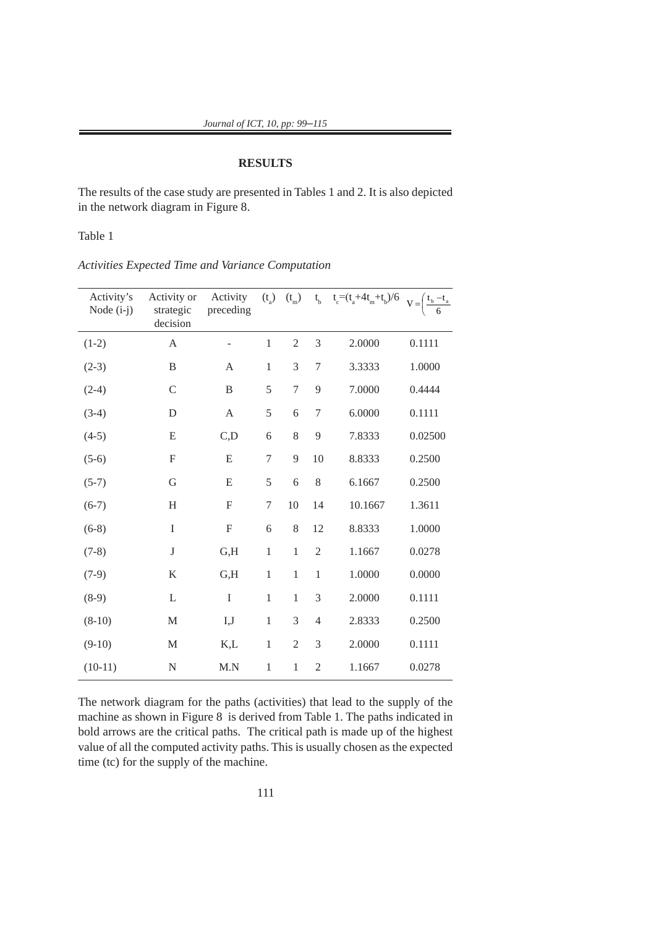## **RESULTS**

The results of the case study are presented in Tables 1 and 2. It is also depicted in the network diagram in Figure 8.

Table 1

| Activity's<br>Node (i-j) | Activity or<br>strategic<br>decision | Activity<br>preceding | $(t_a)$          | $(t_{\rm m})$  |                | $t_b$ $t_c = (t_a + 4t_m + t_b)/6$ | $V = \left(\frac{t_b - t_a}{6}\right)$ |
|--------------------------|--------------------------------------|-----------------------|------------------|----------------|----------------|------------------------------------|----------------------------------------|
| $(1-2)$                  | A                                    |                       | $\,1\,$          | $\mathfrak{2}$ | 3              | 2.0000                             | 0.1111                                 |
| $(2-3)$                  | $\, {\bf B}$                         | A                     | $\,1\,$          | 3              | $\sqrt{ }$     | 3.3333                             | 1.0000                                 |
| $(2-4)$                  | $\mathcal{C}$                        | $\, {\bf B}$          | 5                | $\overline{7}$ | 9              | 7.0000                             | 0.4444                                 |
| $(3-4)$                  | D                                    | $\mathbf{A}$          | 5                | 6              | $\sqrt{ }$     | 6.0000                             | 0.1111                                 |
| $(4-5)$                  | E                                    | C, D                  | 6                | 8              | 9              | 7.8333                             | 0.02500                                |
| $(5-6)$                  | $\mathbf F$                          | E                     | 7                | 9              | 10             | 8.8333                             | 0.2500                                 |
| $(5-7)$                  | G                                    | E                     | 5                | 6              | 8              | 6.1667                             | 0.2500                                 |
| $(6-7)$                  | H                                    | F                     | $\boldsymbol{7}$ | $10\,$         | 14             | 10.1667                            | 1.3611                                 |
| $(6-8)$                  | $\rm I$                              | F                     | 6                | 8              | 12             | 8.8333                             | 1.0000                                 |
| $(7-8)$                  | $\bf J$                              | G,H                   | $\,1\,$          | $\mathbf{1}$   | $\overline{2}$ | 1.1667                             | 0.0278                                 |
| $(7-9)$                  | $\bf K$                              | G,H                   | $\,1\,$          | $\mathbf{1}$   | $\mathbf{1}$   | 1.0000                             | 0.0000                                 |
| $(8-9)$                  | L                                    | $\rm I$               | $\,1\,$          | $\mathbf{1}$   | 3              | 2.0000                             | 0.1111                                 |
| $(8-10)$                 | M                                    | I,J                   | $\,1\,$          | 3              | $\overline{4}$ | 2.8333                             | 0.2500                                 |
| $(9-10)$                 | $\mathbf M$                          | K,L                   | $\mathbf{1}$     | $\mathfrak{2}$ | 3              | 2.0000                             | 0.1111                                 |
| $(10-11)$                | $\mathbf N$                          | M.N                   | $\mathbf 1$      | $\mathbf{1}$   | $\overline{c}$ | 1.1667                             | 0.0278                                 |

*Activities Expected Time and Variance Computation*

The network diagram for the paths (activities) that lead to the supply of the machine as shown in Figure 8 is derived from Table 1. The paths indicated in bold arrows are the critical paths. The critical path is made up of the highest value of all the computed activity paths. This is usually chosen as the expected time (tc) for the supply of the machine.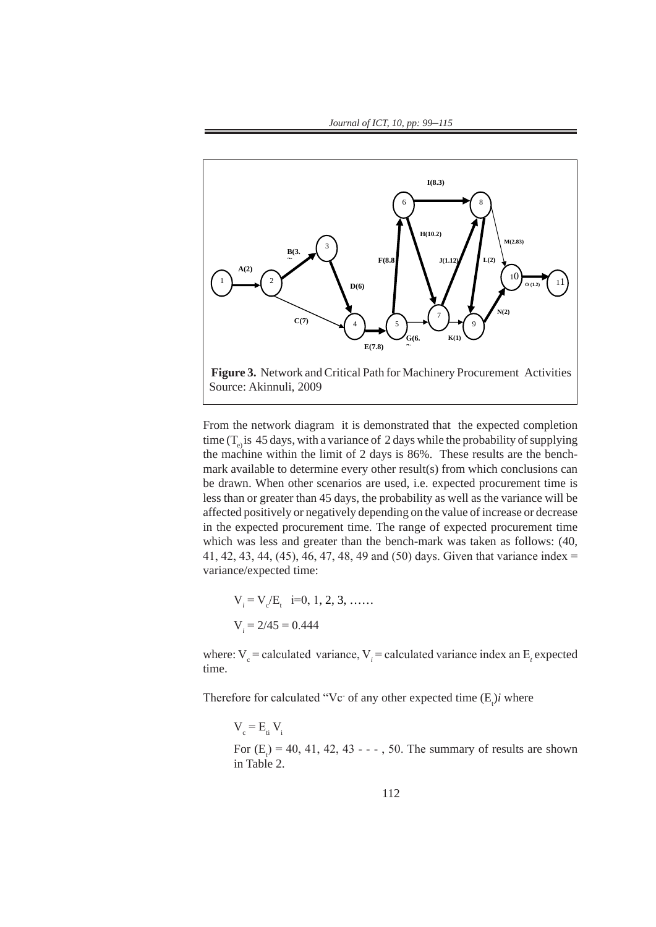

From the network diagram it is demonstrated that the expected completion time  $(T_e)$  is 45 days, with a variance of 2 days while the probability of supplying the machine within the limit of 2 days is 86%. These results are the benchmark available to determine every other result(s) from which conclusions can be drawn. When other scenarios are used, i.e. expected procurement time is less than or greater than 45 days, the probability as well as the variance will be affected positively or negatively depending on the value of increase or decrease in the expected procurement time. The range of expected procurement time which was less and greater than the bench-mark was taken as follows: (40, 41, 42, 43, 44, (45), 46, 47, 48, 49 and (50) days. Given that variance index = variance/expected time:

$$
V_i = V_c/E_t \quad i=0, 1, 2, 3, \dots
$$
  

$$
V_i = 2/45 = 0.444
$$

where:  $V_c$  = calculated variance,  $V_i$  = calculated variance index an  $E_t$  expected time.

Therefore for calculated "Vc<sup>-</sup> of any other expected time  $(E_i)i$  where

 $V_c = E_i V_i$ For  $(E_t) = 40, 41, 42, 43 - - -$ , 50. The summary of results are shown in Table 2.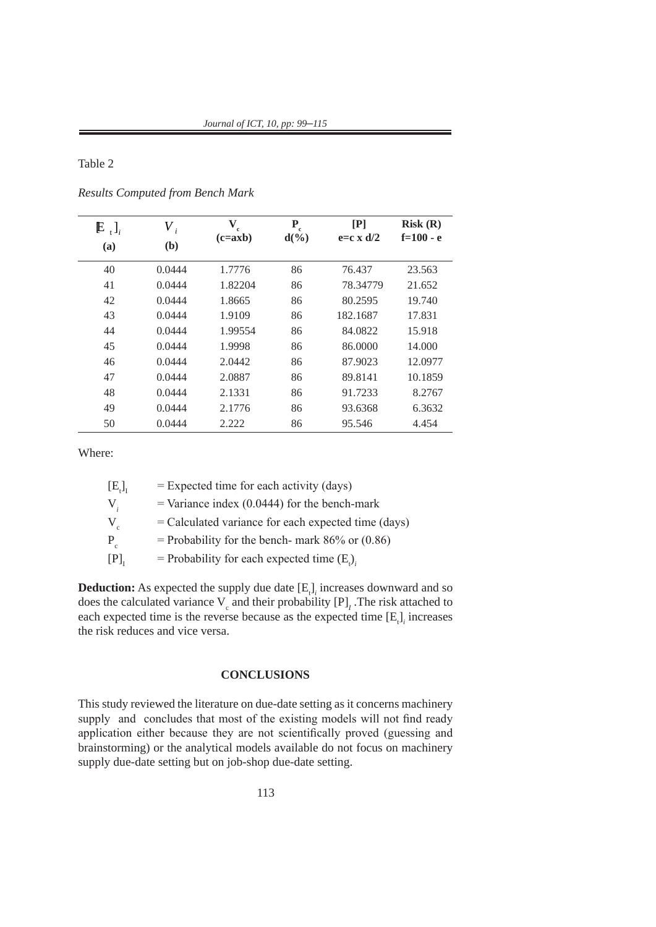Table 2

| $E_{t}$ <sub>i</sub><br>(a) | $V_{i}$<br>(b) | $\mathbf{V}_{\rm c}$<br>$(c = axb)$ | P<br>$\mathbf{r}$<br>$d(\%)$ | [P]<br>$e= c \times d/2$ | Risk(R)<br>$f=100 - e$ |
|-----------------------------|----------------|-------------------------------------|------------------------------|--------------------------|------------------------|
|                             |                |                                     |                              |                          |                        |
| 40                          | 0.0444         | 1.7776                              | 86                           | 76.437                   | 23.563                 |
| 41                          | 0.0444         | 1.82204                             | 86                           | 78.34779                 | 21.652                 |
| 42                          | 0.0444         | 1.8665                              | 86                           | 80.2595                  | 19.740                 |
| 43                          | 0.0444         | 1.9109                              | 86                           | 182.1687                 | 17.831                 |
| 44                          | 0.0444         | 1.99554                             | 86                           | 84.0822                  | 15.918                 |
| 45                          | 0.0444         | 1.9998                              | 86                           | 86.0000                  | 14.000                 |
| 46                          | 0.0444         | 2.0442                              | 86                           | 87.9023                  | 12.0977                |
| 47                          | 0.0444         | 2.0887                              | 86                           | 89.8141                  | 10.1859                |
| 48                          | 0.0444         | 2.1331                              | 86                           | 91.7233                  | 8.2767                 |
| 49                          | 0.0444         | 2.1776                              | 86                           | 93.6368                  | 6.3632                 |
| 50                          | 0.0444         | 2.222                               | 86                           | 95.546                   | 4.454                  |

*Results Computed from Bench Mark*

Where:

| $[E_i]_T$        | $=$ Expected time for each activity (days)            |
|------------------|-------------------------------------------------------|
| $\mathbf{V}_{i}$ | $=$ Variance index (0.0444) for the bench-mark        |
| $V_c$            | $=$ Calculated variance for each expected time (days) |
| $P_c$            | = Probability for the bench- mark $86\%$ or $(0.86)$  |
| [P]              | = Probability for each expected time $(E_i)$ ,        |

**Deduction:** As expected the supply due date  $[E_t]$  increases downward and so does the calculated variance  $V_c$  and their probability  $[P]_I$ . The risk attached to each expected time is the reverse because as the expected time  $[E_i]$ <sub>*i*</sub> increases the risk reduces and vice versa.

## **CONCLUSIONS**

This study reviewed the literature on due-date setting as it concerns machinery supply and concludes that most of the existing models will not find ready application either because they are not scientifically proved (guessing and brainstorming) or the analytical models available do not focus on machinery supply due-date setting but on job-shop due-date setting.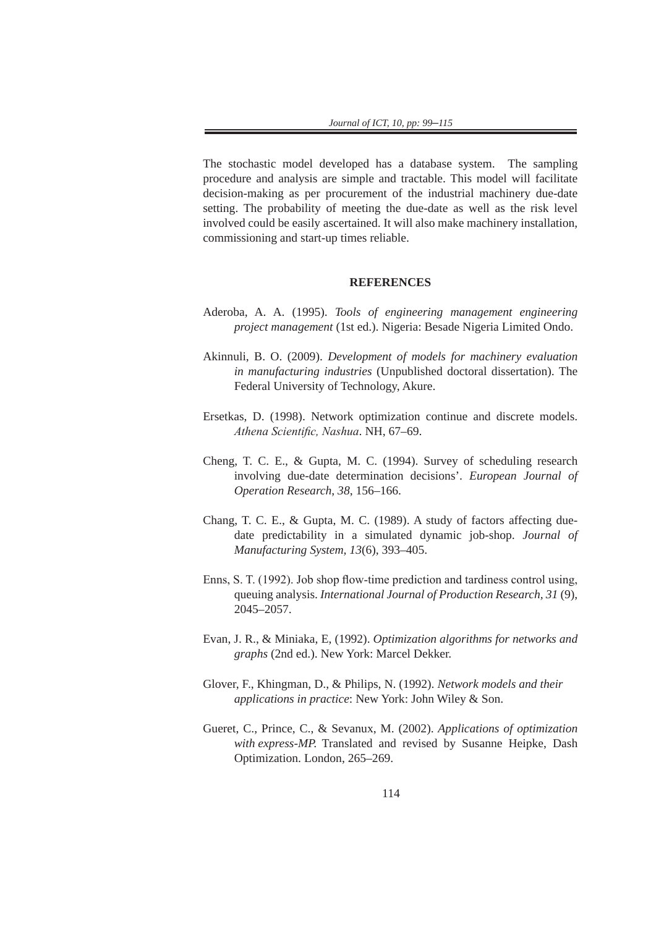The stochastic model developed has a database system. The sampling procedure and analysis are simple and tractable. This model will facilitate decision-making as per procurement of the industrial machinery due-date setting. The probability of meeting the due-date as well as the risk level involved could be easily ascertained. It will also make machinery installation, commissioning and start-up times reliable.

#### **REFERENCES**

- Aderoba, A. A. (1995). *Tools of engineering management engineering project management* (1st ed.). Nigeria: Besade Nigeria Limited Ondo.
- Akinnuli, B. O. (2009). *Development of models for machinery evaluation in manufacturing industries* (Unpublished doctoral dissertation). The Federal University of Technology, Akure.
- Ersetkas, D. (1998). Network optimization continue and discrete models. *Athena Scientific, Nashua*. NH, 67–69.
- Cheng, T. C. E., & Gupta, M. C. (1994). Survey of scheduling research involving due-date determination decisions'. *European Journal of Operation Research*, *38*, 156–166.
- Chang, T. C. E., & Gupta, M. C. (1989). A study of factors affecting duedate predictability in a simulated dynamic job-shop. *Journal of Manufacturing System, 13*(6), 393–405.
- Enns, S. T. (1992). Job shop flow-time prediction and tardiness control using, queuing analysis. *International Journal of Production Research, 31* (9), 2045–2057.
- Evan, J. R., & Miniaka, E, (1992). *Optimization algorithms for networks and graphs* (2nd ed.). New York: Marcel Dekker.
- Glover, F., Khingman, D., & Philips, N. (1992). *Network models and their applications in practice*: New York: John Wiley & Son.
- Gueret, C., Prince, C., & Sevanux, M. (2002). *Applications of optimization with express-MP.* Translated and revised by Susanne Heipke, Dash Optimization. London, 265–269.